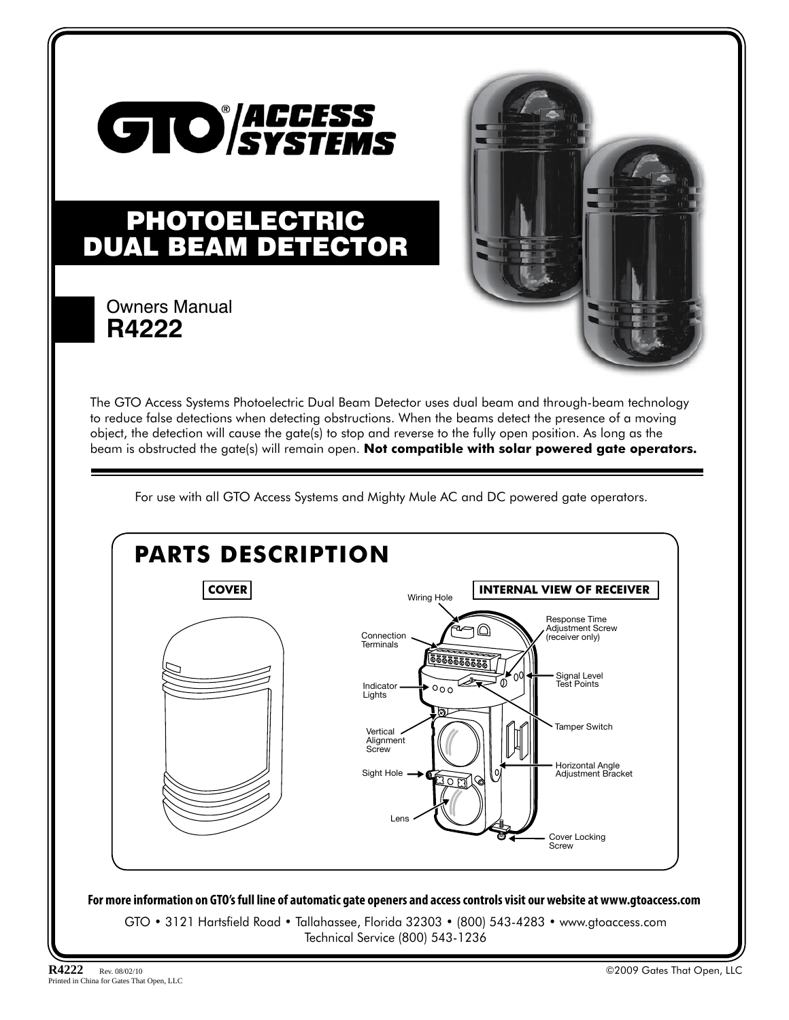

# PHOTOELECTRIC DUAL BEAM DETECTOR

### Owners Manual **R4222**



The GTO Access Systems Photoelectric Dual Beam Detector uses dual beam and through-beam technology to reduce false detections when detecting obstructions. When the beams detect the presence of a moving object, the detection will cause the gate(s) to stop and reverse to the fully open position. As long as the beam is obstructed the gate(s) will remain open. **Not compatible with solar powered gate operators.**

For use with all GTO Access Systems and Mighty Mule AC and DC powered gate operators.

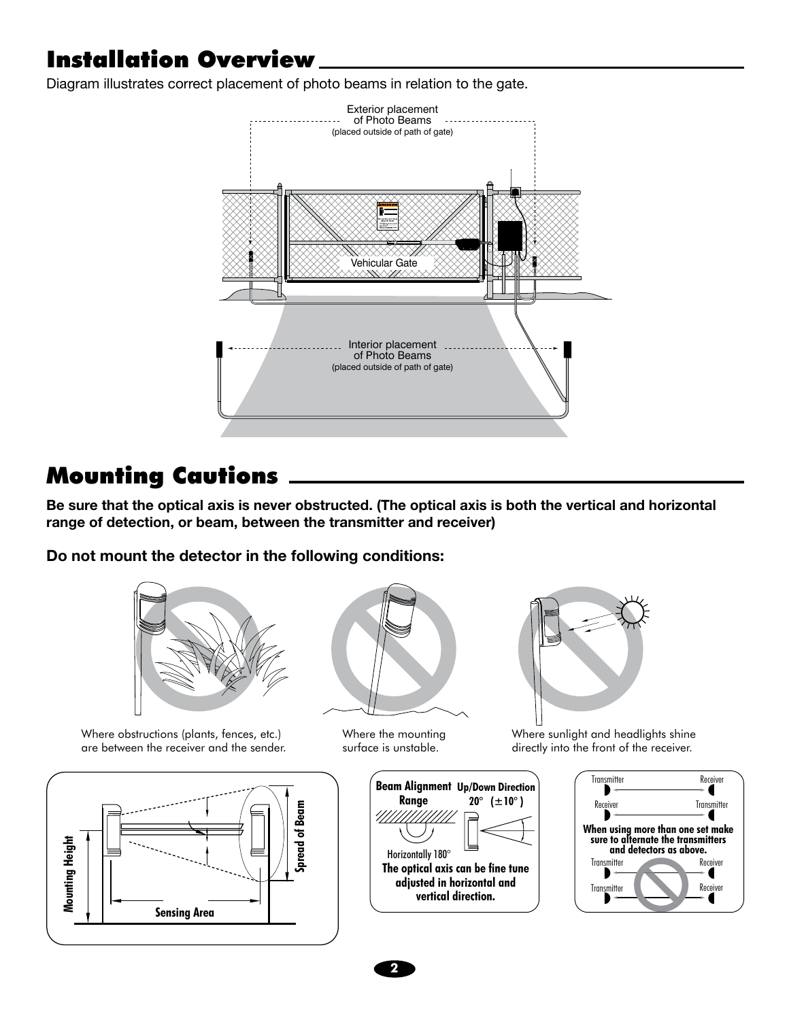# Installation Overview

Diagram illustrates correct placement of photo beams in relation to the gate.



## Mounting Cautions

**Be sure that the optical axis is never obstructed. (The optical axis is both the vertical and horizontal range of detection, or beam, between the transmitter and receiver)**

**Do not mount the detector in the following conditions:**



Where obstructions (plants, fences, etc.) are between the receiver and the sender.





Where the mounting surface is unstable.





Where sunlight and headlights shine directly into the front of the receiver.



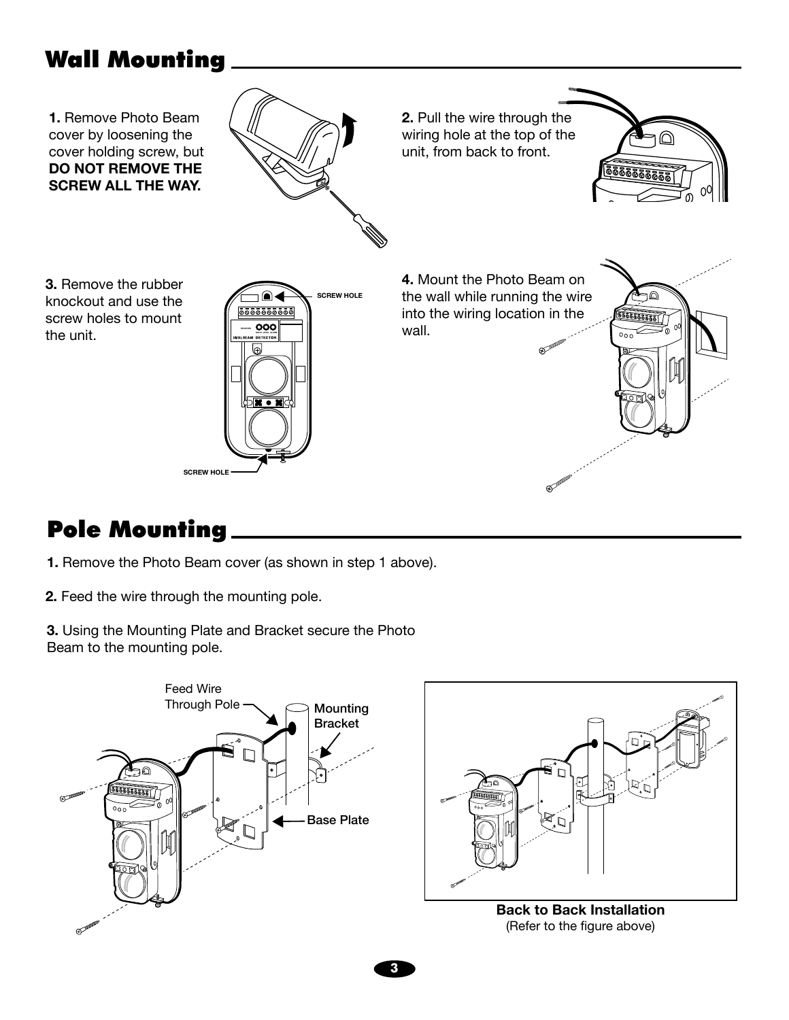# Wall Mounting



# Pole Mounting

- **1.** Remove the Photo Beam cover (as shown in step 1 above).
- **2.** Feed the wire through the mounting pole.
- **3.** Using the Mounting Plate and Bracket secure the Photo Beam to the mounting pole.



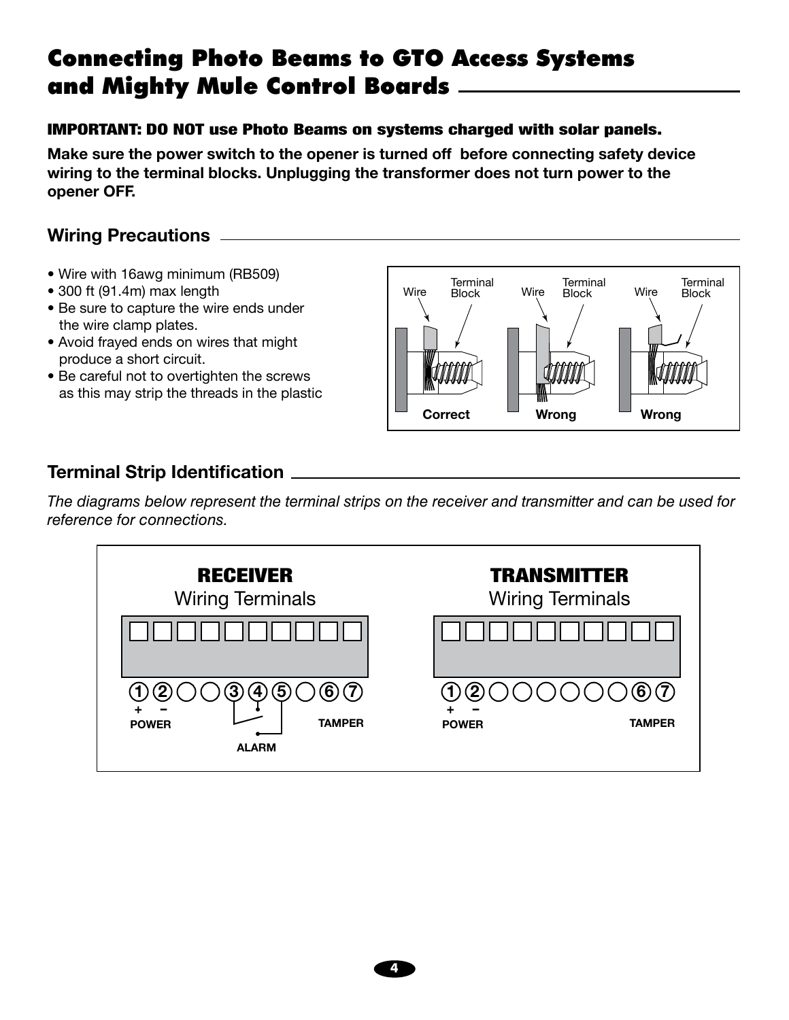## Connecting Photo Beams to GTO Access Systems and Mighty Mule Control Boards

#### IMPORTANT: DO NOT use Photo Beams on systems charged with solar panels.

**Make sure the power switch to the opener is turned off before connecting safety device wiring to the terminal blocks. Unplugging the transformer does not turn power to the opener OFF.**

### **Wiring Precautions**

- Wire with 16awg minimum (RB509)
- 300 ft (91.4m) max length
- Be sure to capture the wire ends under the wire clamp plates.
- Avoid frayed ends on wires that might produce a short circuit.
- Be careful not to overtighten the screws as this may strip the threads in the plastic



### **Terminal Strip Identification**

*The diagrams below represent the terminal strips on the receiver and transmitter and can be used for reference for connections.*



**4**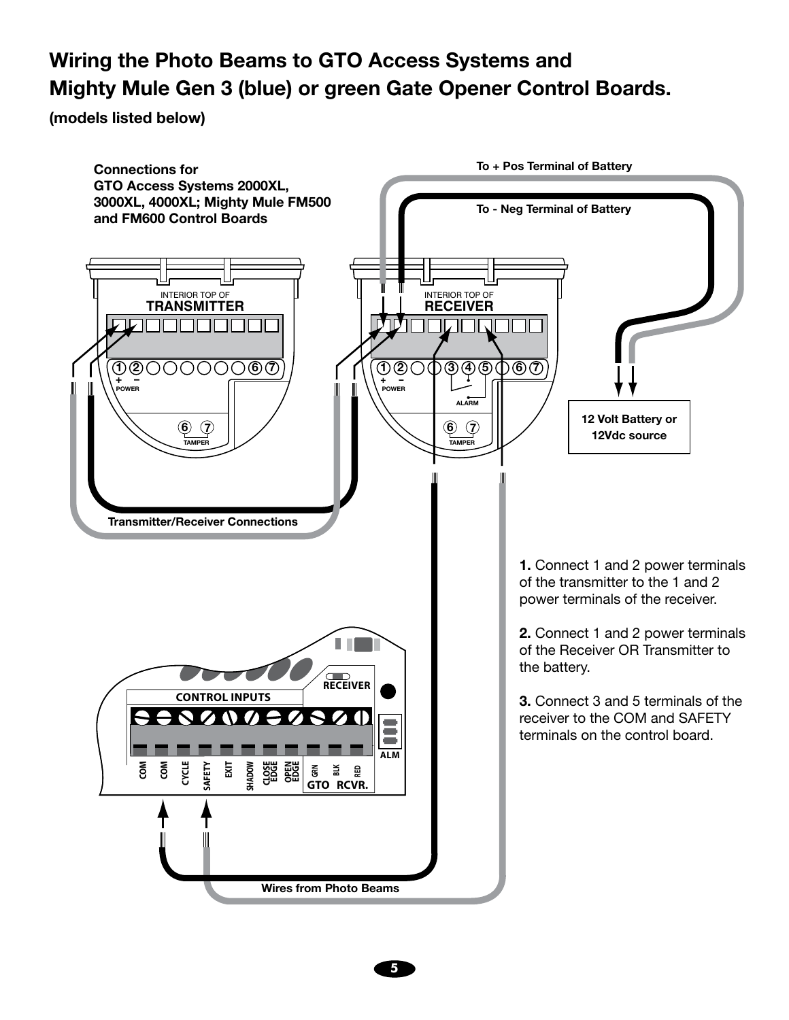## **Wiring the Photo Beams to GTO Access Systems and Mighty Mule Gen 3 (blue) or green Gate Opener Control Boards.**

**(models listed below)**

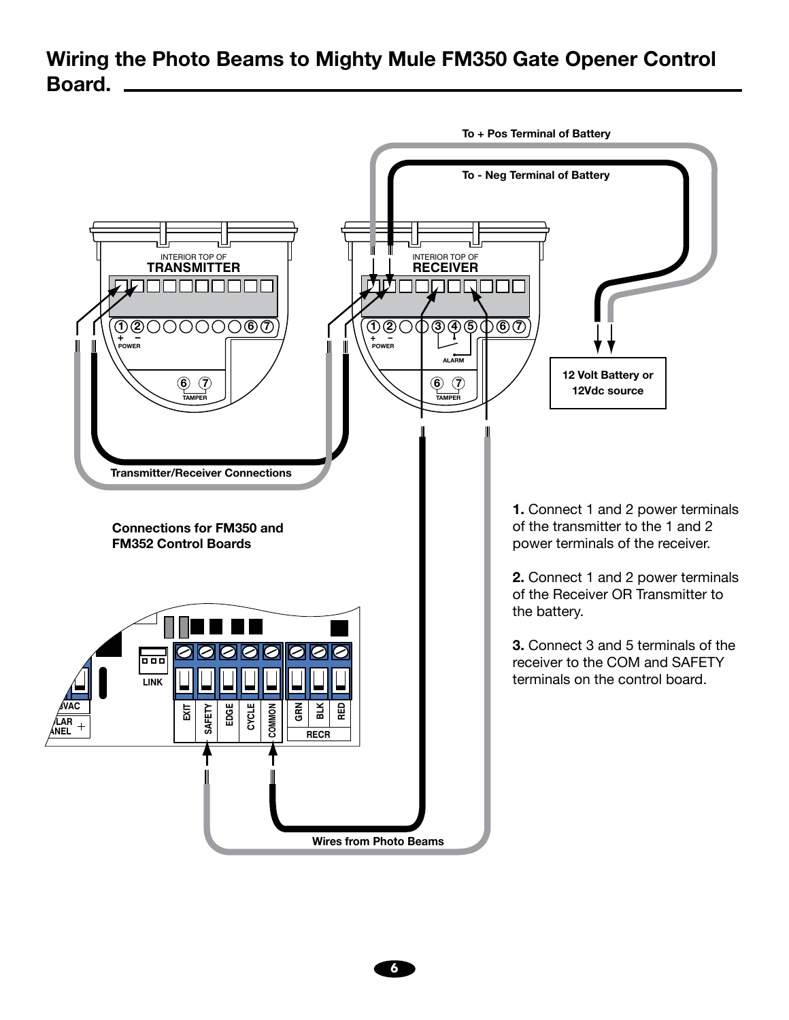### **Wiring the Photo Beams to Mighty Mule FM350 Gate Opener Control Board.**



**6**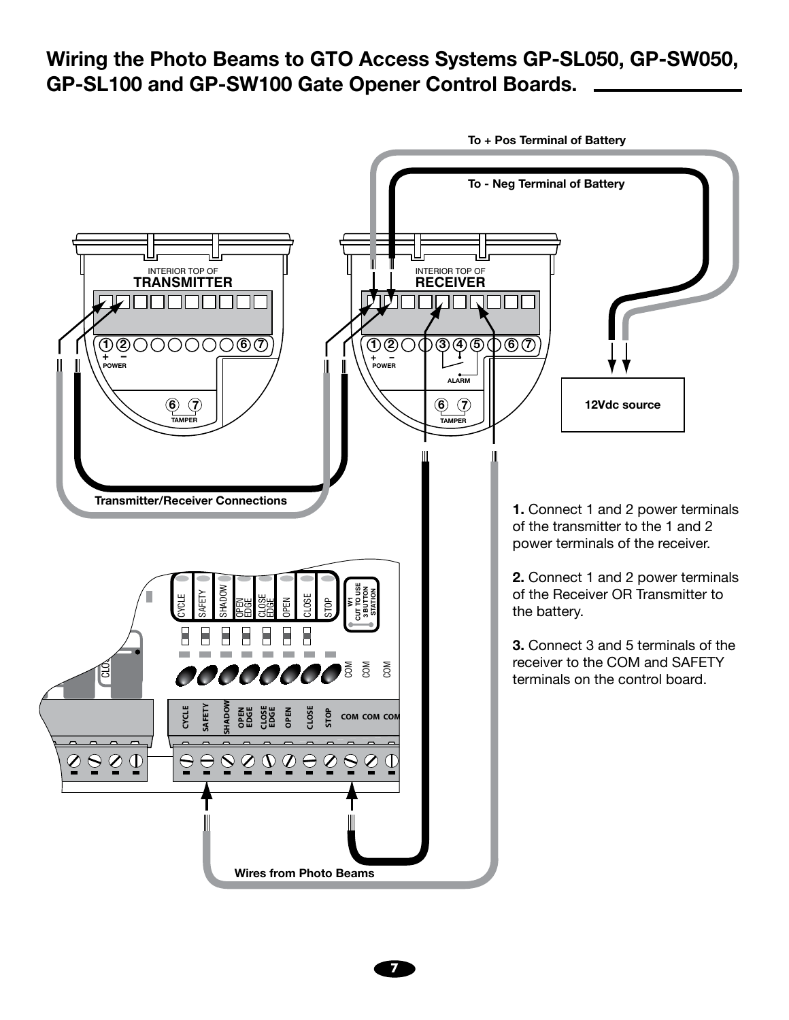**Wiring the Photo Beams to GTO Access Systems GP-SL050, GP-SW050, GP-SL100 and GP-SW100 Gate Opener Control Boards.** 



**To + Pos Terminal of Battery**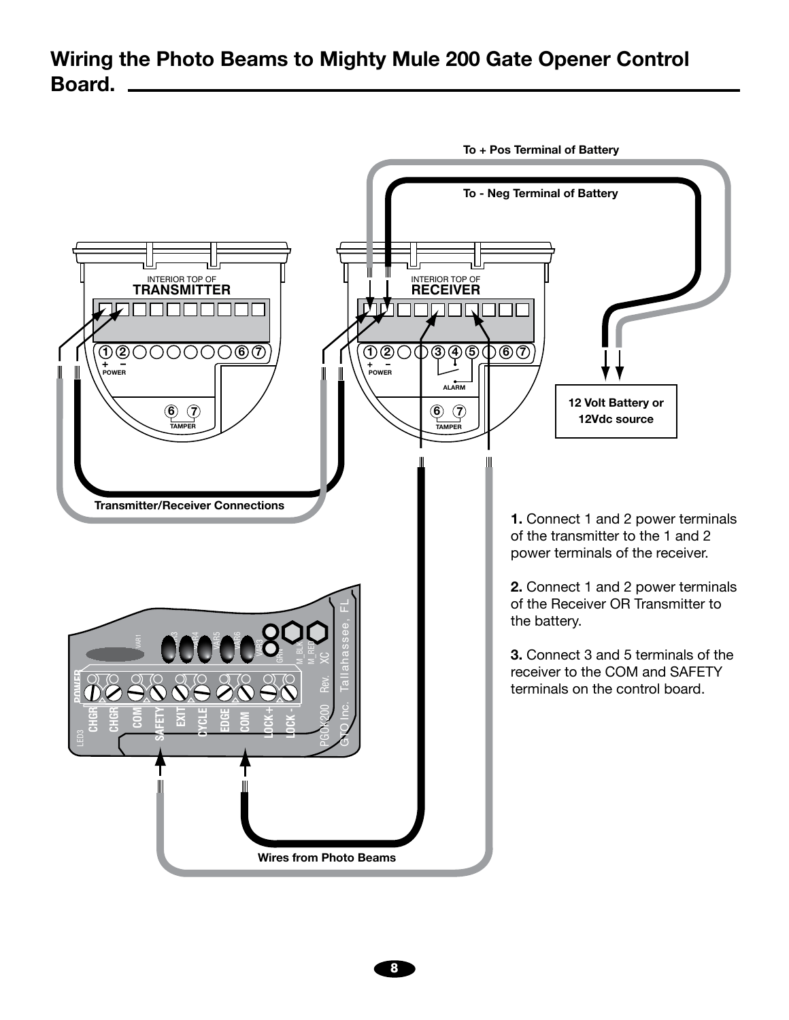### **Wiring the Photo Beams to Mighty Mule 200 Gate Opener Control Board.**

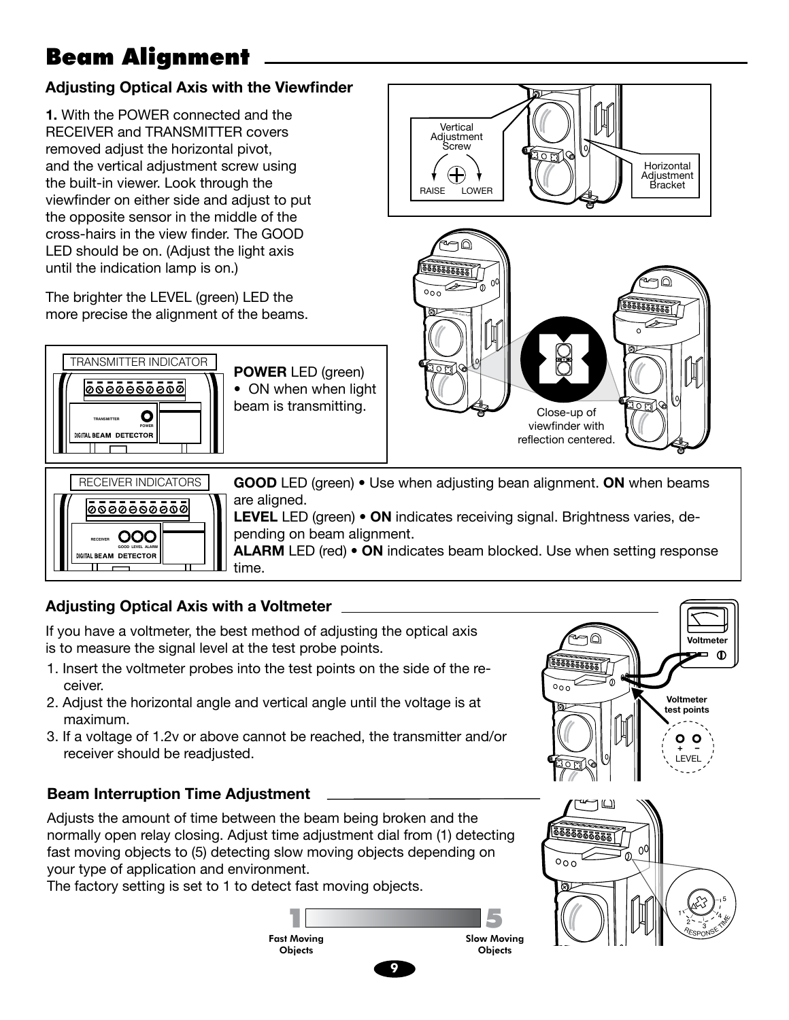# Beam Alignment

#### **Adjusting Optical Axis with the Viewfinder**

**1.** With the POWER connected and the RECEIVER and TRANSMITTER covers removed adjust the horizontal pivot, and the vertical adjustment screw using the built-in viewer. Look through the viewfinder on either side and adjust to put the opposite sensor in the middle of the cross-hairs in the view finder. The GOOD LED should be on. (Adjust the light axis until the indication lamp is on.)

The brighter the LEVEL (green) LED the more precise the alignment of the beams.



**POWER** LED (green) • ON when when light beam is transmitting.





**GOOD** LED (green) • Use when adjusting bean alignment. **ON** when beams are aligned.

**LEVEL** LED (green) • **ON** indicates receiving signal. Brightness varies, depending on beam alignment.

**ALARM** LED (red) • **ON** indicates beam blocked. Use when setting response time.

### **Adjusting Optical Axis with a Voltmeter**

If you have a voltmeter, the best method of adjusting the optical axis is to measure the signal level at the test probe points.

- 1. Insert the voltmeter probes into the test points on the side of the receiver.
- 2. Adjust the horizontal angle and vertical angle until the voltage is at maximum.
- 3. If a voltage of 1.2v or above cannot be reached, the transmitter and/or receiver should be readjusted.

#### **Beam Interruption Time Adjustment**

Adjusts the amount of time between the beam being broken and the normally open relay closing. Adjust time adjustment dial from (1) detecting fast moving objects to (5) detecting slow moving objects depending on your type of application and environment.

The factory setting is set to 1 to detect fast moving objects.



**9**



 $\frac{1}{555555550}$ 

**Voltmeter test points**

**Voltmeter**

Ō  $\mathbf 0$